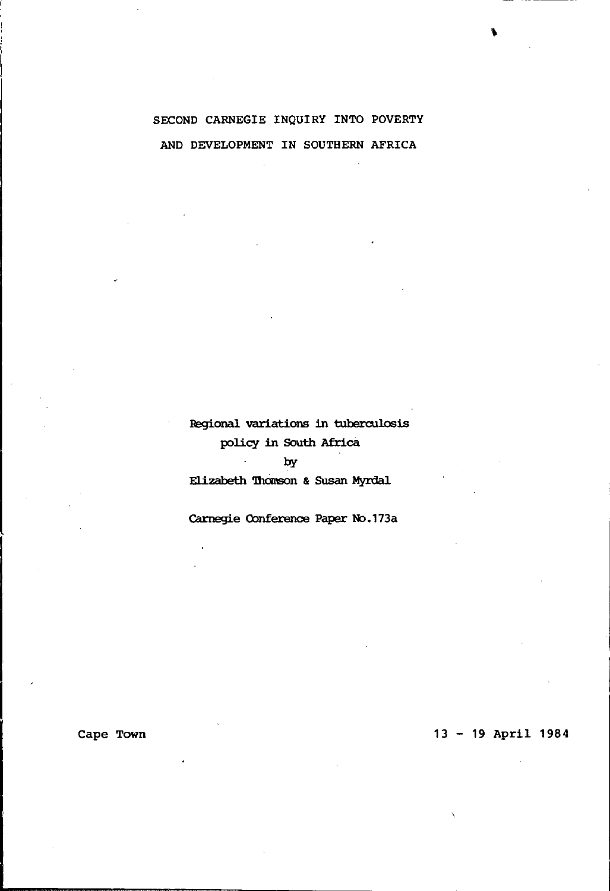# SECOND CARNEGIE INQUIRY INTO POVERTY AND DEVELOPMENT IN SOUTHERN AFRICA

Regional variations in tuberculosis policy in South Africa

## by

 $\Delta\sim 10^4$ 

Elizabeth Thomson & Susan Myrdal

Carnegie Conference Paper No.173a

# 13 - 19 April 1984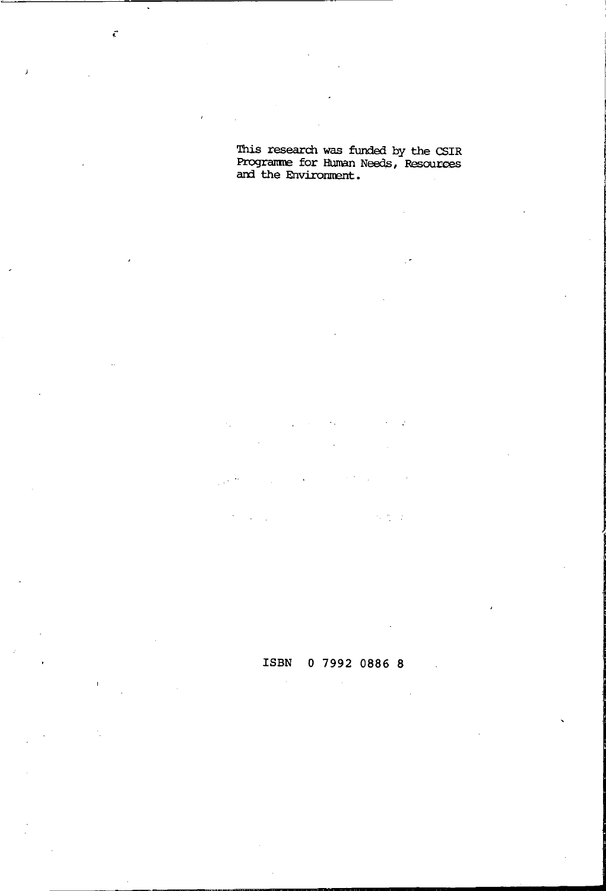This research was funded by the CSIR Programme for Human Needs, Resources<br>and the Environment.

 $\ddot{\epsilon}$ 

ISBN 0 7992 0886 8

化成分

Цý.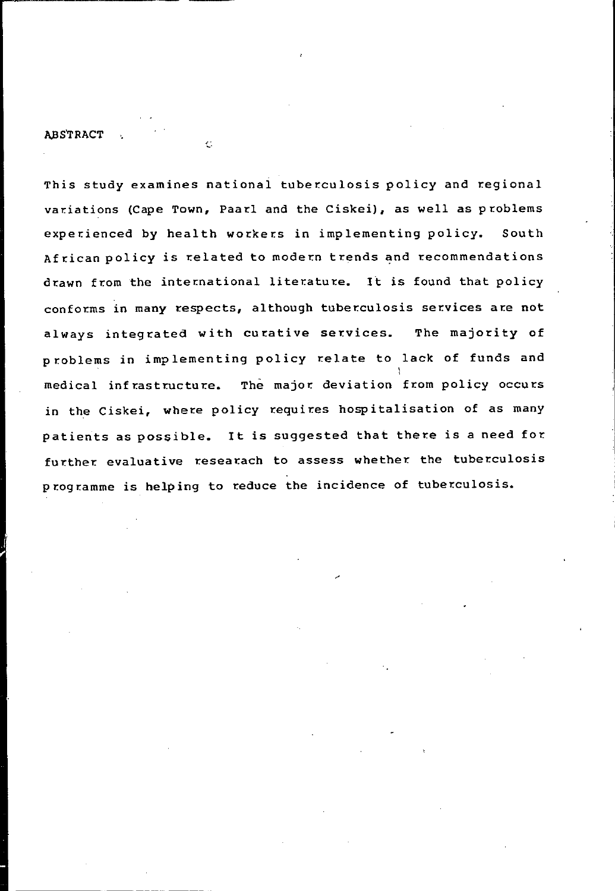This study examines national tuberculosis policy and regional variations (Cape Town, Paarl and the Ciskei), as well as problems experienced by health workers in implementing policy. South African policy is related to modern trends and recommendations drawn from the international literature. It is found that policy conforms in many respects, although tuberculosis services are not always integrated with curative services. The majority of problems in implementing policy relate to lack of funds and I medical infrastructure. The major. deviation from policy occurs in the Ciskei, where policy requires hospitalisation of as many patients as possible. It is suggested that there is a need for further evaluative researach to assess whether the tuberculosis p rogramme is helping to reduce the incidence of tuberculosis.

r-----------~~- ~---~

Ċ

**ABSTRACT**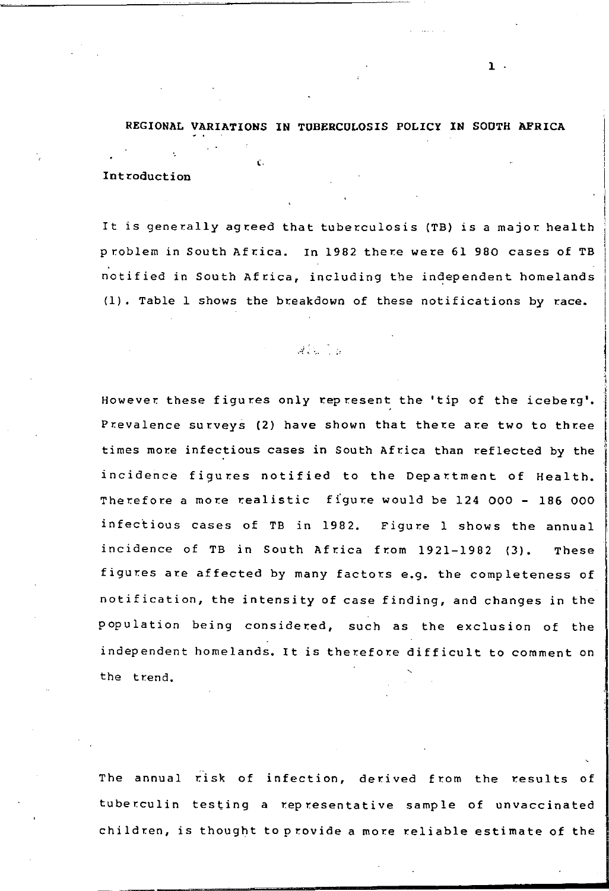# REGIONAL VARIATIONS IN TOBERCOLOSIS POLICY IN SOOTH AFRICA (. Introduction

It is generally agreed that tuberculosis (TB) is a major health problem in South Africa. In 1982 there were 61 980 cases of TB notified in South Africa, including the independent homelands (1). Table 1 shows the breakdown of these notifications by race.

. -:{ ..

However these figures only represent the 'tip of the iceberg'. Prevalence surveys (2) have shown that there are two to three times more infectious cases in South Africa than reflected by the incidence figures notified to the Department of Health. Therefore a more realistic figure would be 124 000 - 186 000 infectious cases of TB in 1982. Figure 1 shows the annual incidence of TB in South Africa from 1921-1982 (3). These figures are affected by many factors e.g. the completeness of notification, the intensity of case finding, and changes in the population being considered, such as the exclusion of the independent homelands. It is therefore difficult to comment on the trend.

The annual risk of infection, derived from the results of tuberculin testing a representative sample of unvaccinated children, is thought toprovide a more reliable estimate of the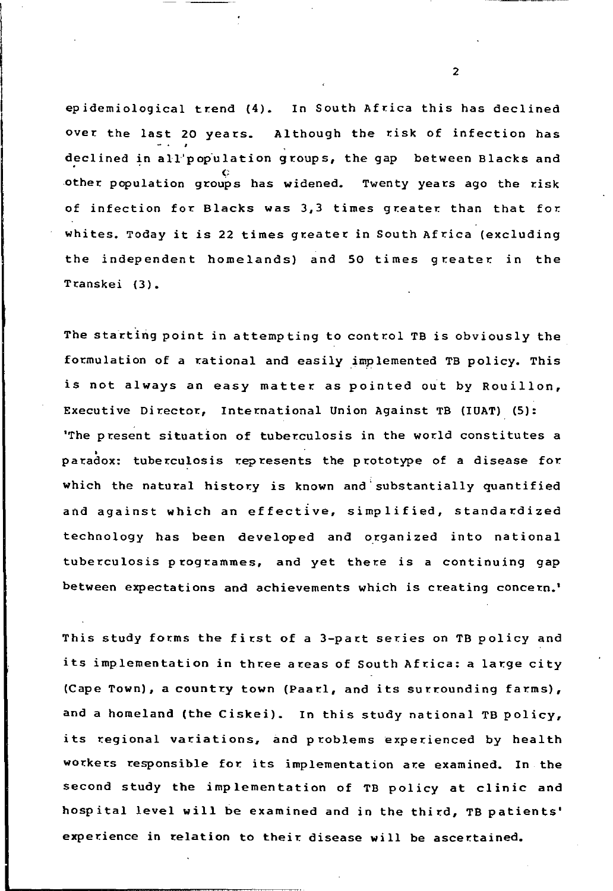epidemiological trend (4). In South Africa this has declined Over the last 20 years. Although the risk of infection has declined in all'population groups, the gap between Blacks and other population groups has widened. Twenty years ago the risk of infection for Blacks was 3,3 times greater than that for whites. Today it is 22 times greater in South Africa (excluding the independent homelands) and 50 times greater in the Transkei (3).

The starting point in attempting to control TB is obviously the formulation of a rational and easily implemented TB policy. This is not always an easy matter as pointed out by Rouillon, Executive Director., International Union Against TB (IUAT) (5): 'The present situation of tuberculosis in the world constitutes a<br>paradox: tuberculosis represents the prototype of a disease for which the natural history is known and'substantially quantified and against which an effective, simplified, standardized technology has been developed and organized into national tuberculosis programmes, and yet there is a continuing gap between expectations and achievements which is creating concern.'

This study forms the first of a 3-part series on TB policy and its implementation in three areas of South Africa: a large city (Cape Town), a country town (Paarl, and its surrounding farms), and a homeland (the Ciskei). In this study national TB policy, its regional variations, and problems experienced by health workers responsible for its implementation are examined. In the second study the implementation of TB policy at clinic and hospital level will be examined and in the third, TB patients' experience in relation to their disease will be ascertained.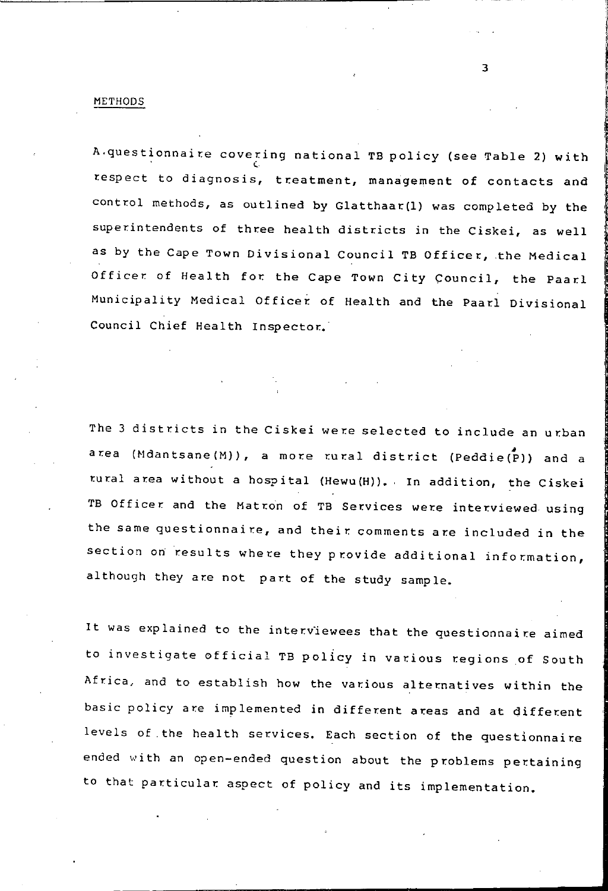#### METHODS

A.questionnaire covering national TB policy (see Table 2) with respect to diagnosis, treatment, management of contacts and control methods, as outlined by Glatthaar(1) was completed by the superintendents of three health districts in the Ciskei, as well as by the Cape Town Divisional Council TB Officer, the Medical Officer of Health for the Cape Town City Council, the Paarl Municipality Medical Officer of Health and the Paarl Divisional Council Chief Health Inspector..'

The 3 districts in the Ciskei were selected to include an urban area (Mdantsane(M)), a more rural district (Peddie(P)) and a rural area without a hospital (Hewu(H)). In addition, the Ciskei TB Officer and the Matron of TB Services were interviewed using the same questionnaire, and their comments are included in the section on results where they provide additional information, although they are not part of the study sample.

It was explained to the interviewees that the questionnaire aimed to investigate official TB policy in various regions of South Africa, and to establish how the various alternatives within the basic policy are implemented in different areas and at different levels of the health services. Each section of the questionnaire ended with an open-ended question about the problems pertaining to that particular aspect of policy and its implementation.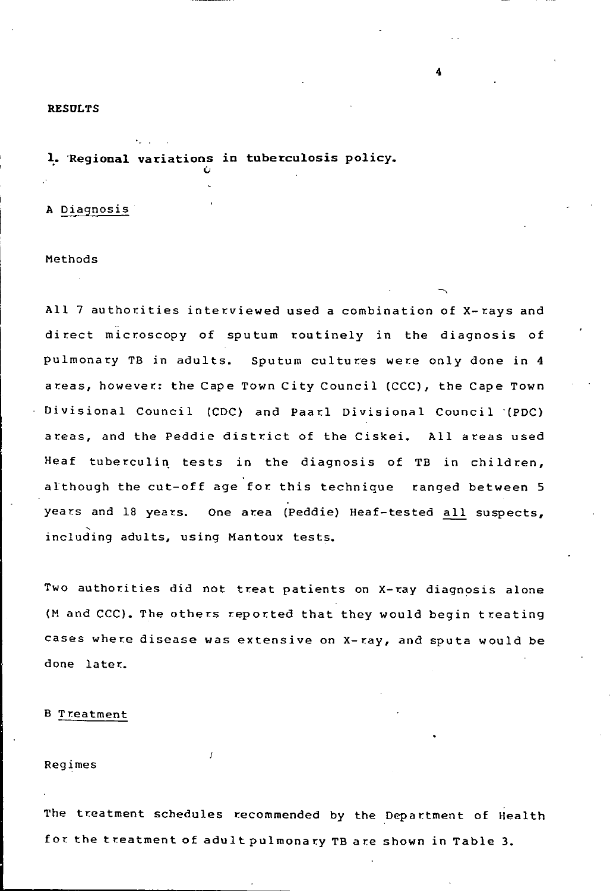## RESDLTS

# 1. Regional variations in tuberculosis policy.

A Diagnosis

## Methods

All 7 authorities interviewed used a combination of X-rays and direct microscopy of sputum routinely in the diagnosis of pulmonary TB in adults. Sputum cultures were only done in 4 areas, however: the Cape Town City Council (CCC), the Cape Town Divisional Council (CDC) and Paarl Divisional Council '(PDC) areas, and the Peddie district of the Ciskei. All areas used Heaf tuberculin tests in the diagnosis of TB in children, although the cut-off age for this technique ranged between 5 years and 18 years. One area (Peddie) Heaf-tested all suspects, including adults, using Mantoux tests.

Two authorities did not treat patients on X-ray diagnosis alone (M and CCC). The others reported that they would begin treating cases where disease was extensive on X-ray, and sputa would be done later..

#### B Treatment

Regimes

The treatment schedules recommended by the Department of Health for the treatment of adult pulmonary TB are shown in Table 3.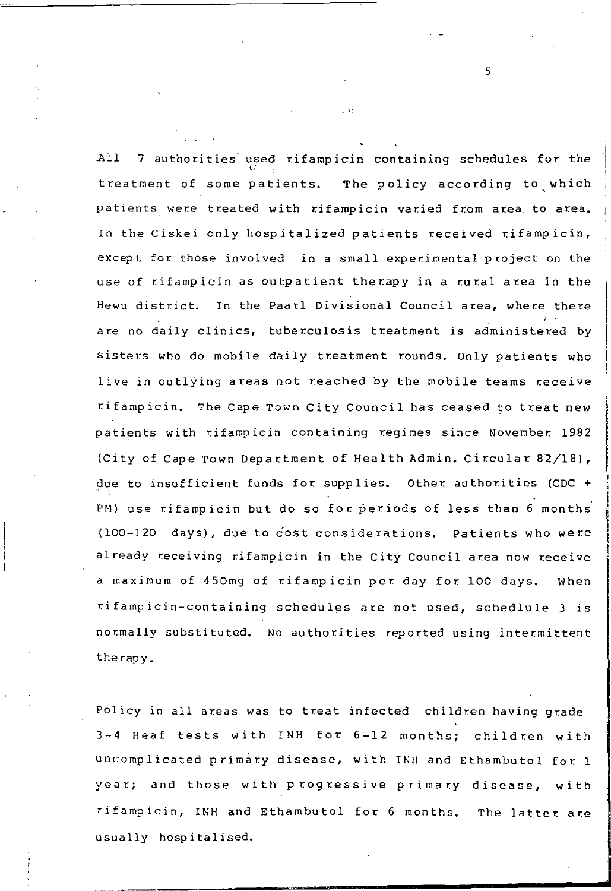$All$  7 authorities used rifampicin containing schedules for the treatment of some patients. The policy according to which patients were treated with rifampicin varied from area. to area. In the Ciskei only hospitalized patients received rifampicin, except for those involved in a small experimental project on the use of rifampicin as outpatient therapy in a rural area in the Hewu district. In the Paarl Divisional Council area, where there are no daily clinics, tuberculosis treatment is administered by sisters who do mobile daily treatment rounds. Only patients who live in outlying areas not reached by the mobile teams receive rifampicin. The Cape Town City Council has ceased to treat new patients with rifampicin containing regimes since November 1982 (City of Cape Town Department of Health Admin. Circular 82/18), due to insufficient funds for supplies. Other authorities (CDC + PM) use rifampicin but do so for periods of less than 6 months (100-120 days), due to cost considerations. Patients who were already receiving rifampicin in the City Council area now receive a maximum of 450mg of rifampicin per day for 100 days. When rifampicin-containing schedules are not used, schedlule 3 is normally substituted. No authorities reported using intermittent therapy.

Policy in all areas was to treat infected children having grade  $3-4$  Heaf tests with INH for  $6-12$  months; children with uncomplicated primary disease, with INH and Ethambutol for 1 year; and those with progressive primary disease, with rifampicin, INH and Ethambutol for 6 months. The latter are usually hospitalised.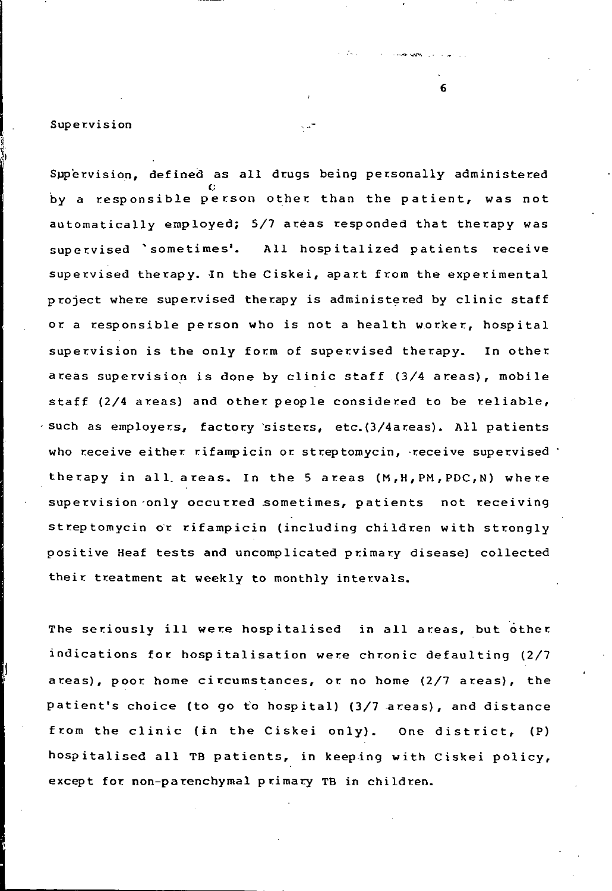## Supervision

Supervision, defined as all drugs being personally administered by a responsible person other than the patient, was not automatically employed;  $5/7$  areas responded that therapy was supervised 'sometimes'. All hospitalized patients receive supervised therapy. In the Ciskei, apart from the experimental project where supervised therapy is administered by clinic staff or a responsible person who is not a health worker, hospital supervision is the only form of supervised therapy. In other areas supervision is done by clinic staff (3/4 areas), mobile staff ( $2/4$  areas) and other people considered to be reliable, 'such as employers, factory 'sisters, etc.(3/4areas). All patients who receive either rifampicin or streptomycin, receive supervised  $\cdot$ therapy in all areas. In the 5 areas (M, H, PM, PDC, N) where supervision only occurred sometimes, patients not receiving streptomycin or rifampicin (including children with strongly positive Heaf tests and uncomplicated primary disease) collected their treatment at weekly to monthly intervals.

The seriously ill were hospitalised in all areas, but other indications for hospitalisation were chronic defaulting (2/7 areas), poor. home ci rcumstances, or no home (2/7 areas), the patient's choice (to go fo hospital) (3/7 areas), and distance from the clinic (in the Ciskei only). One district, (P) hospitalised all TB patients, in keeping with Ciskei policy, except for non-parenchymal primary TB in children.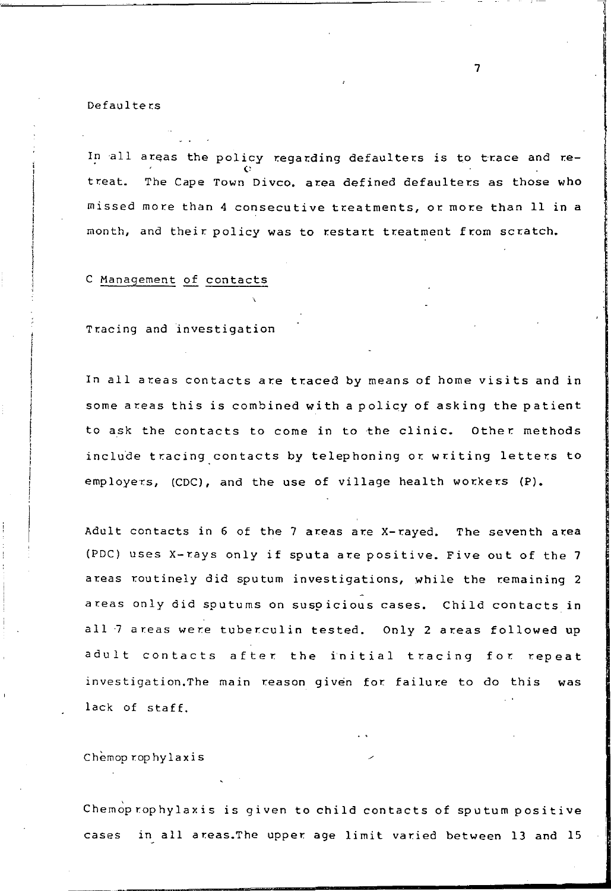#### **Defaulters**

In all areas the policy regarding defaulters is to trace and retreat. The Cape Town Divco. area defined defaulters as those who  $m$  issed more than  $4$  consecutive treatments, or more than  $11$  in a month, and their policy was to restart treatment from scratch.

# C Management of contacts

Tracing and investigation

In all areas contacts are traced by means of home visits and in some areas this is combined with a policy of asking the patient to ask the contacts to come in to the clinic. Other methods include tracing contacts by telephoning or writing letters to employers, (CDC), and the use of village health workers  $(P)$ .

Adult contacts in  $6$  of the  $7$  areas are X-rayed. The seventh area (PDC) uses X-rays only if sputa are positive. Five out of the 7 areas routinely did sputum investigations, while the remaining 2 areas only did sputums on suspicious cases. Child contacts in all 7 areas were tuber.culin tested. Only 2 areas followed up adult contacts after the initial tracing for repeat investigation.The main reason given for failure to do this was lack of staff.

Chemop rophylaxis

Chemoprophylaxis is given to child contacts of sputum positive cases in all areas. The upper age limit varied between 13 and 15 in the component of the component of the component of the component of the component of the component of the component of the component of the component of the component of the component of the component of the component o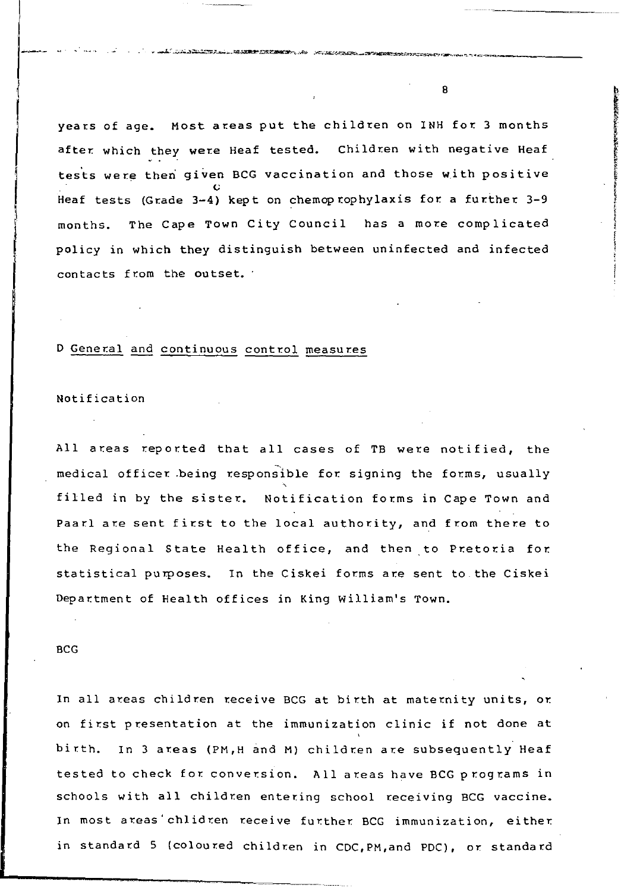years of age. Most areas put the children on INH for 3 months after which they were Heaf tested. Children with negative Heaf tests were then given BCG vaccination and those with positive Heaf tests (Grade 3-4) kept on chemoprophylaxis for a further 3-9 months. The Cape Town City Council has a more complicated policy in which they distinguish between uninfected and infected contacts from the outset.

## D General and continuous control measures

## Notification

All areas reported that all cases of TB were notified, the medical officer being responsible for signing the forms, usually filled in by the sister. Notification forms in Cape Town and Paarl are sent first to the local authority, and from there to the Regional State Health office, and then to Pretoria for. statistical purposes. In the Ciskei forms are sent to the Ciskei Department of Health offices in King William's Town.

## BCG

In all areas children receive BCG at birth at maternity units, or. on first presentation at the immunization clinic if not done at birth. In 3 areas (PM, H and M) children are subsequently Heaf tested to check for conversion. All areas have BCG programs in schools with all children entering school receiving BCG vaccine. In most areas' chlidren receive further BCG immunization, either in standard 5 (coloured children in CDC,PH,and PDC), or standard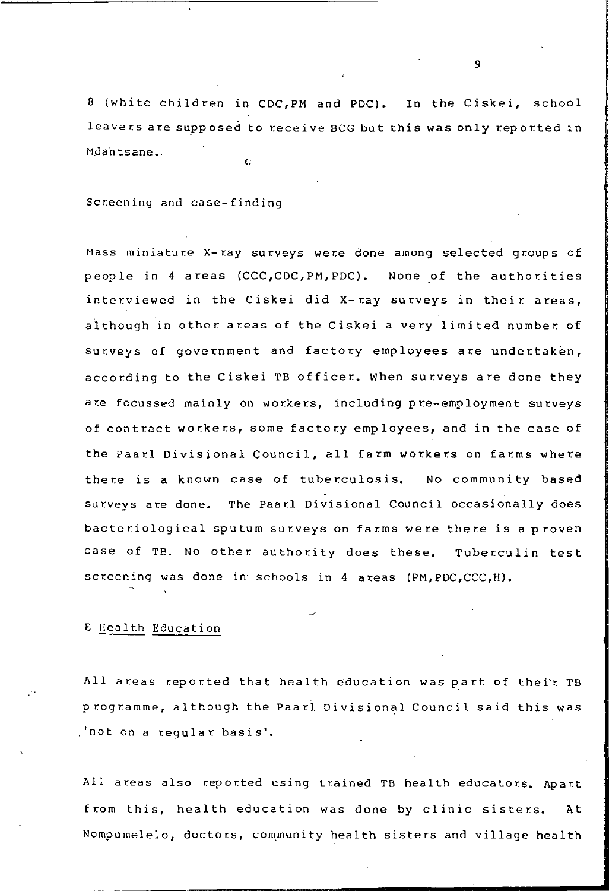8 (white children in CDC,PM and PDC). In the Ciskei, school leavers are supposed to receive BCG but this was only reported in  $M$ dantsane. $($ 

Screening and case-finding

Mass miniature X-ray surveys were done among selected groups of people in 4 areas (CCC,CDC,PM,PDC). None of the authorities interviewed in the Ciskei did X-ray surveys in their areas, although in other areas of the Ciskei a very limited number of surveys of government and factory employees are undertaken, according to the Ciskei TB officer. When surveys are done they are focussed mainly on workers, including pre-employment surveys of contract workers, some factory employees, and in the case of the Paarl Divisional Council, all farm workers on farms where there is a known case of tuberculosis. No community based surveys are done. The Paarl Divisional Council occasionally does bacteriological sputum surveys on farms were there is a proven case of TB. NO other authority does these. Tuberculin test screening was done in' schools in 4 areas (PM,PDC,CCC,H).

## E Health Education

All areas reported that health education was part of thei'r TB programme, although the Paarl Divisional Council said this was ,'not on a regular basis'.

All areas also reported using trained TB health educators. Apart from this, health education was done by clinic sisters. At Nompumelelo, doctors, community health sisters and village health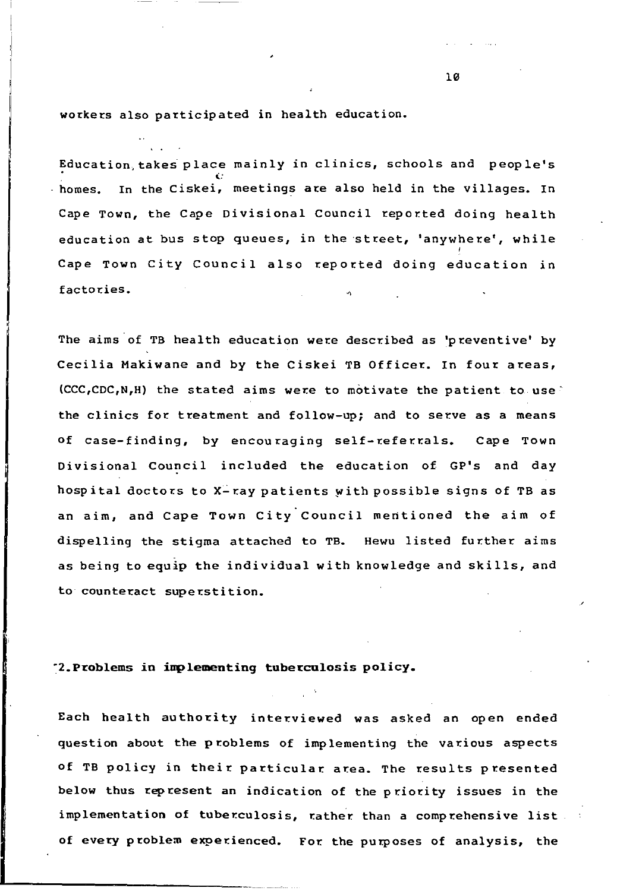workers also participated in health education.

Education takes place mainly in clinics, schools and people's homes. In the Ciskei, meetings are also held in the villages. In Cape Town, the Cape Divisional Council reported doing health education at bus stop queues, in the street, 'anywhere', while Cape Town City Council also reported doing education in factories.

The aims of TB health education were described as 'preventive' by Cecilia Makiwane and by the Ciskei TB Officer. In four areas,  $(CCC, CDC, NH)$  the stated aims were to motivate the patient to use the clinics for treatment and follow-up; and to serve as a means of case-finding, by encouraging self-referrals. Cape Town Divisional Council included the education of GP's and day hospital doctors to  $X$ -ray patients with possible signs of TB as an aim, and Cape Town City Council mentioned the aim of dispelling the stigma attached to TB. Hewu listed further aims as being to equip the individual with knowledge and skills, and to counteract superstition.

## "2.Problems in implementing tuberculosis policy.

Each health authority interviewed was asked an open ended question about the problems of implementing the various aspects of TB policy in their particular area. The results presented below thus represent an indication of the priority issues in the implementation of tuberculosis, rather than a comprehensive list of every problem experienced. For the purposes of analysis, the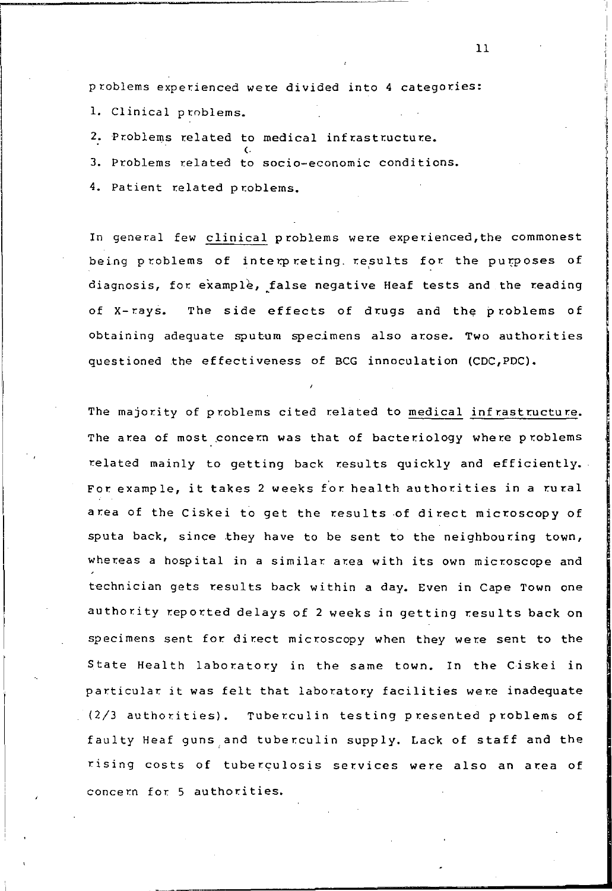problems experienced were divided into 4 categories:

1. Clinical problems.

2. Problems related to medical infrastructure.

3. Problems related to socio-economic conditions.

4. Patient related problems.

In general few clinical problems were experienced,the commonest being problems of interpreting results for the purposes of diagnosis, for example, false negative Heaf tests and the reading of X-rays. The side effects of drugs and the problems of obtaining adequate sputum specimens also arose. Two authorities questioned the effectiveness of BCG innoculation (CDC,PDC).

The majority of problems cited related to medical infrastructure. The area of most concern was that of bacteriology where problems related mainly to getting back results quickly and efficiently. For example, it takes 2 weeks *t'or* health authorities in a rural area of the Ciskei to get the results of direct microscopy of sputa back, since they have to be sent to the neighbouring town, whereas a hospital in a similar area with its own microscope and technician gets results back within a day. Even in Cape Town one authority reported delays of 2 weeks in getting results back on specimens sent for direct microscopy when they were sent to the State Health laboratory in the same town. In the Ciskei in particular it was felt that laboratory facilities were inadequate  $(2/3$  authorities). Tuberculin testing presented problems of faulty Heaf guns,and tuberculin supply. Lack of staff and the rising costs of tuberculosis services were also an area of concern for 5 authorities.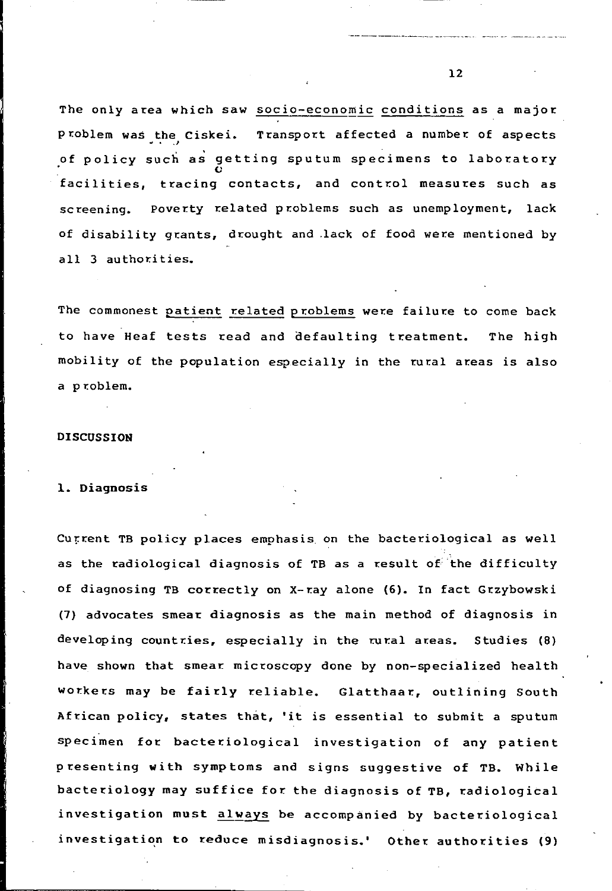The only area which saw socio-economic conditions as a major p roblem was the Ciskei. Transport affected a number of aspects of policy such as getting sputum specimens to laboratory facilities, tracing contacts, and control measures such as screening. Poverty related problems such as unemployment, lack of disability grants, drought and lack of food were mentioned by all 3 authorities.

The commonest patient related problems were failure to come back to have Heaf tests read and defaulting treatment. The high mobility of the population especially in the rural areas is also a problem.

### DISCUSSION

#### 1. Diagnosis

Current TB policy places emphasis on the bacteriological as well as the radiological diagnosis of TB as a result of the difficulty of diagnosing TB correctly on X-ray alone (6). In fact Grzybowski (7) advocates smear diagnosis as the main method of diagnosis in developing countries, especially in the rural areas. Studies (8) have shown that smear. microscopy done by non-specialized health workers may be fairly reliable. Glatthaar, outlining South African policy, states that, 'it is essential to submit a sputum specimen for. bacteriological investigation of any patient presenting with symptoms and signs suggestive of TB. While bacteriology may suffice for the diagnosis of TB, radiological investigation must always be accompanied by bacteriological investigation to reduce misdiagnosis.' Other authorities (9)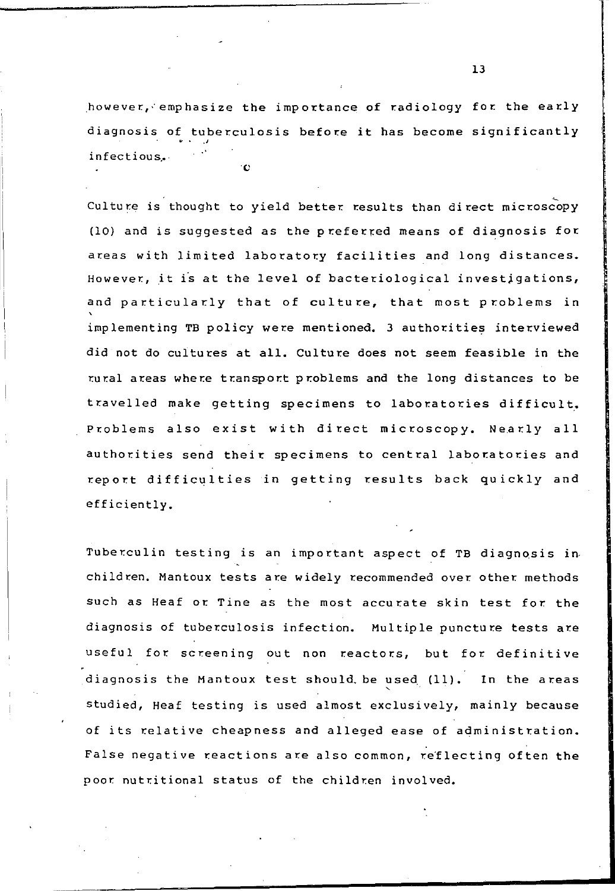however,:emphasize the importance of radiology for the early diagnosis of tuberculosis before it has become significantly infectious.

Culture is thought to yield better results than direct microscopy (l0) and is suggested as the p referred means of diagnosis for areas with limited laboratory facilities and long distances. However, it is at the level of bacteriological investigations, and particularly that of culture, that most problems in implementing TB policy were mentioned. 3 authorities interviewed did not do cultures at all. Culture does not seem feasible in the rural areas where transport problems and the long distances to be travelled make getting specimens to laboratories difficult. Problems also exist with direct microscopy. Nearly all authorities send their specimens to central laboratories and report difficulties in getting results back quickly and efficiently.

Tuberculin testing is an important aspect of TB diagnosis in children. Mantoux tests are widely recommended over other methods such as Heaf or Tine as the most accurate skin test for the diagnosis of tuberculosis infection. Multiple puncture tests are useful for screening out non reactors, but for definitive diagnosis the Mantoux test should be used (11). In the areas studied, Heaf testing is used almost exclusively, mainly because of its relative cheapness and alleged ease of administration. False negative reactions are also common, reflecting often the poor nutritional status of the children involved.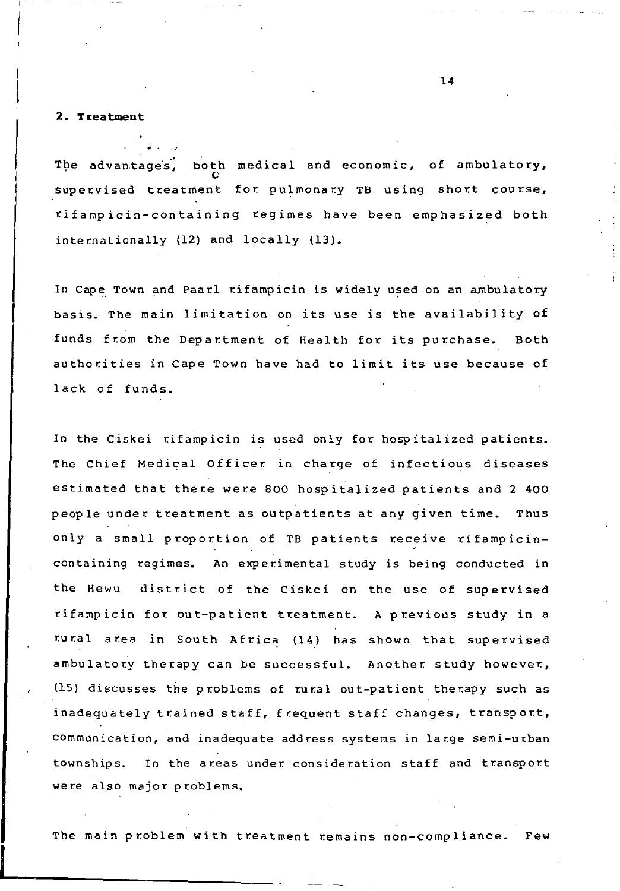## **2. Treatment**

The advantages, both medical and economic, of ambulatory, Supervised treatment for pulmonary TB using short course, rifampicin-containing regimes have been emphasized both internationally (12) and locally (13).

In Cape Town and Paarl rifampicin is widely used on an ambulatory basis. The main limitation on its use is the availability of funds from the Department of Health for its purchase. Both authorities in Cape Town have had to limit its use because of lack of funds.

In the Ciskei rifampicin is used only for hospitalized patients. The Chief Medical Officer in charge of infectious diseases estimated that there were BoO hospitalized patients and 2 400 people under treatment as outpatients at any given time. Thus only a small proportion of TB patients receive rifampicincontaining regimes. An experimental study is being conducted in the Hewu district of the Ciskei on the use of supervised rifampicin for out-patient treatment. A previous study in a rural area in South Africa (14) has shown that supervised ambulatory therapy can be successful. Another study however, (15) discusses the problems of rural out-patient therapy such as inadequately trained staff, frequent staff changes, transport, communication, and inadequate address systems in large semi-urban townships. In the areas under consideration staff and transport were also major problems.

The main problem with treatment remains non-compliance. Few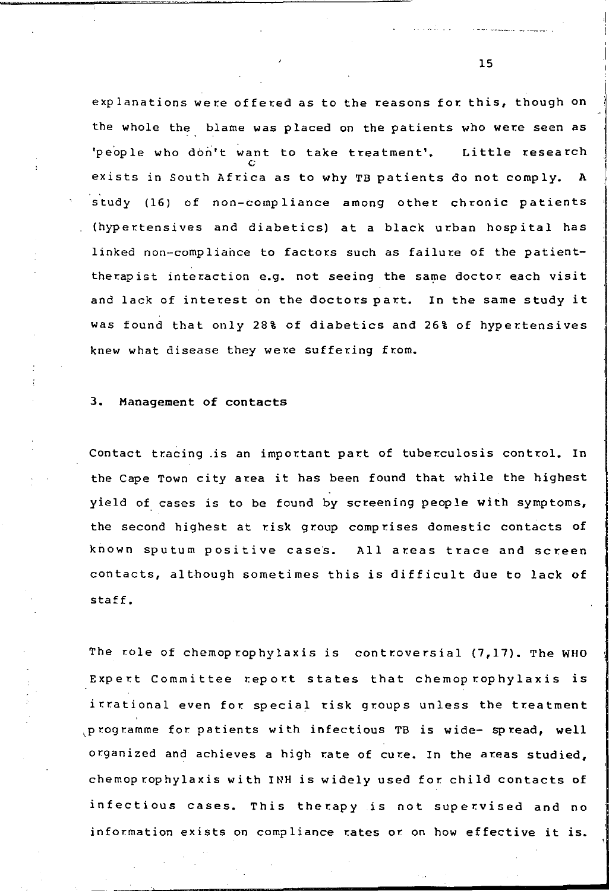explanations were offered as to the reasons for this, though on the whole the blame was placed on the patients who were seen as 'people who don't want to take treatment'. Little research exists in South Africa as to why TB patients do not comply. A study (16) of non-compliance among other chronic patients (hypertensives and diabetics) at a black urban hospital has linked non-compliance to factors such as failure of the patienttherapist interaction e.g. not seeing the same doctor each visit and lack of interest on the doctors part. In the same study it was found that only 28% of diabetics and 26% of hypertensives knew what disease they were suffering from.

## 3. Management of contacts

Contact tracing is an important part of tuberculosis control. In the Cape Town city area it has been found that while the highest yield of cases is to be found by screening people with symptoms, the second highest at risk group comprises domestic contacts of known sputum positive cases. All areas trace and screen contacts, although sometimes this is difficult due to lack of staff.

The role of chemoprophylaxis is controversial  $(7,17)$ . The WHO Expert Committee report states that chemoprophylaxis is itrational even for special risk groups unless the treatment , programme for patients with infectious TB is wide- spread, well organized and achieves a high rate of cure. In the areas studied, chemoprophylaxis with INH is widely used for. child contacts of infectious cases. This therapy is not supervised and no information exists on compliance rates or on how effective it is.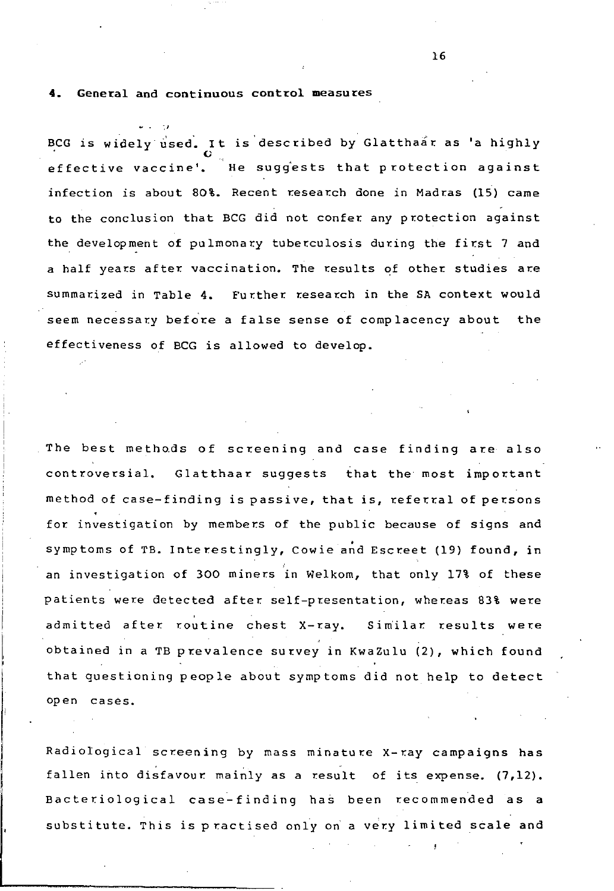**4.** General and continuous control measures

',' BCG is widely used. It is described by Glatthaar as 'a highly effective vaccine'. He sugiests that protection against infection is about *80%.* Recent research done in Madras (15) came to the conclusion that BCG did not confer any protection against the development of pulmonary tuberculosis during the first 7 and a half years after vaccination. The results of other studies are summarized in Table 4. Further research in the SA context would seem necessary before a false sense of complacency about the effectiveness of BCG is allowed to develop.

The best methods of screening and case finding are also cont roversial. Glatthaar suggests that the most important method of case-finding is passive, that is, referral of persons for investigation by members of the public because of signs and symptoms of TB. Interestingly, Cowie and Escreet (19) found, in an investigation of *300* miners in Welkom, that only 17% of these patients were detected after self-presentation, whereas 83% were admitted after routine chest X-ray. Sim'ilar results were obtained in a TB prevalence survey in KwaZulu (2), which found that questioning people about symptoms did not help to detect open cases.

Radiological screening by mass minature X-ray campaigns has fallen into disfavour mainly as a result of its expense. (7,12). Bacteriological case-finding has been recommended as a substitute. This is practised only on a very limited scale and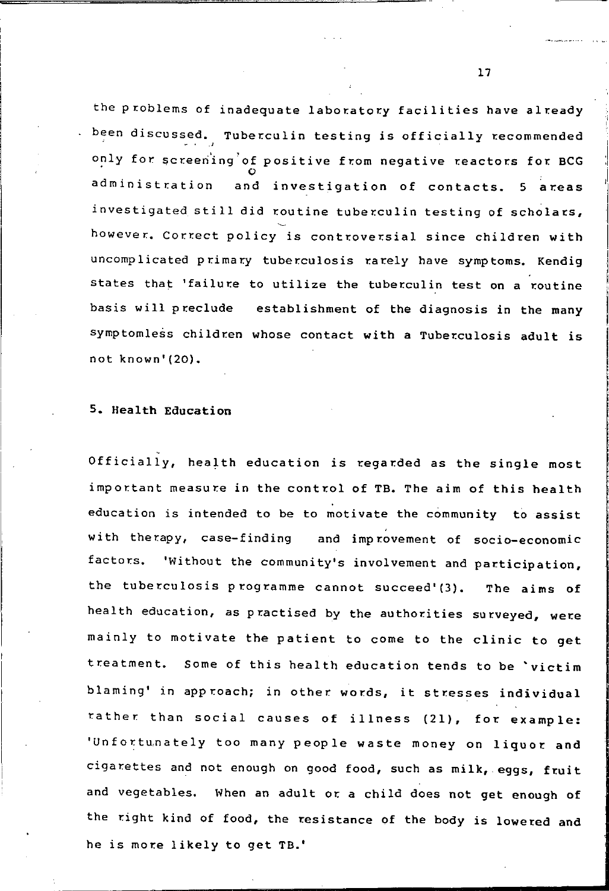the problems of inadequate laboratory facilities have already been discussed. Tuberculin testing is officially recommended only for screening of positive from negative reactors for BCG<br>administration and investigation of contacts. 5 areas investigated still did routine tuberculin testing of scholars, however. Correct policy is controversial since children with uncomplicated primary tuberculosis rarely have symptoms. Kendig states that 'failure to utilize the tuberculin test on a routine basis will preclude establishment of the diagnosis in the many symptomless children whose contact with a Tuberculosis adult is not known' (20).

## 5. Health Education

Officially, health education is regarded as the single most important measure in the control of TB. The aim of this health education is intended to be to motivate the community to assist with therapy, case-finding and improvement of socio-economic factors. 'Without the community's involvement and participation, the tuberculosis programme cannot succeed'(3). The aims of health education, as practised by the authorities surveyed, were mainly to motivate the patient to come to the clinic to get treatment. Some of this health education tends to be 'victim blaming' in approach; in other words, it stresses individual rather than social causes of illness (21), for example: 'Unfortunately too many people waste money on liquor and cigarettes and not enough on good food, such as milk, eggs, fruit and vegetables. When an adult or a child does not get enough of the right kind of food, the resistance of the body is lowered and he is more likely to get TB.'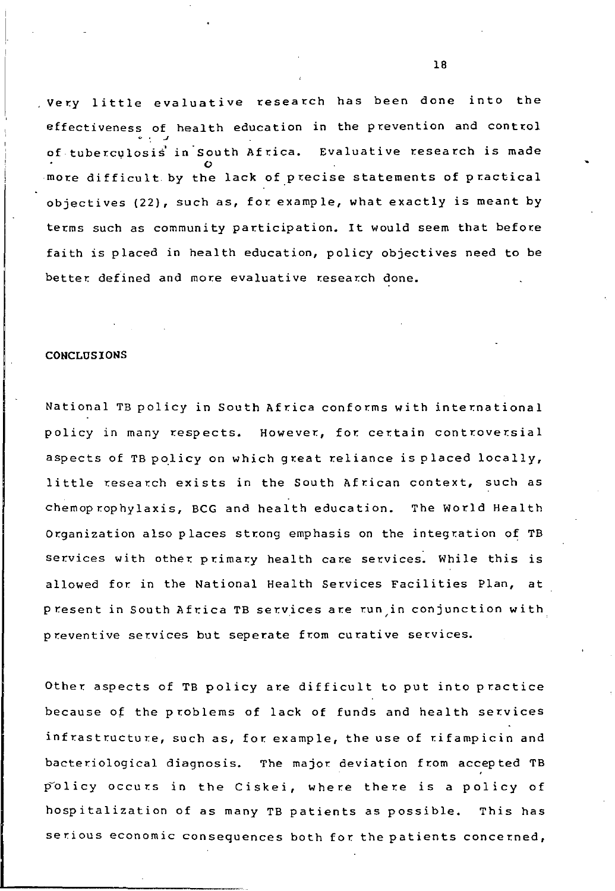Very little evaluative research has been done into the effectiveness of health education in the prevention and control <> 0 • *.J*  of tuberculosis in South Africa. Evaluative research is made more difficult by the lack of precise statements of practical objectives (22), such as, for example, what exactly is meant by terms such as community participation. It would seem that before faith is placed in health education, policy objectives need to be better defined and more evaluative research done.

#### **CONCLUSIONS**

National TB policy in South Africa conforms with international policy in many respects. However, for certain controversial aspects of TB policy on which great reliance is placed locally, little research exists in the South African context, such as chemoprophylaxis, BCG and health education. The World Health Organization also places strong emphasis on the integration of TB services with other primary health care services. While this is allowed for in the National Health Services Facilities Plan, at present in South Africa TB services are run,in conjunction with preventive services but seperate from curative services.

Other aspects of TB policy are difficult to put into practice because of the problems of lack of funds and health services infrastructure, such as, for example, the use of rifampicin and bacteriological diagnosis. The major deviation from accepted TB policy occurs in the Ciskei, where there is a policy of hospitalization of as many TB patients as possible. This has serious economic consequences both for the patients concerned,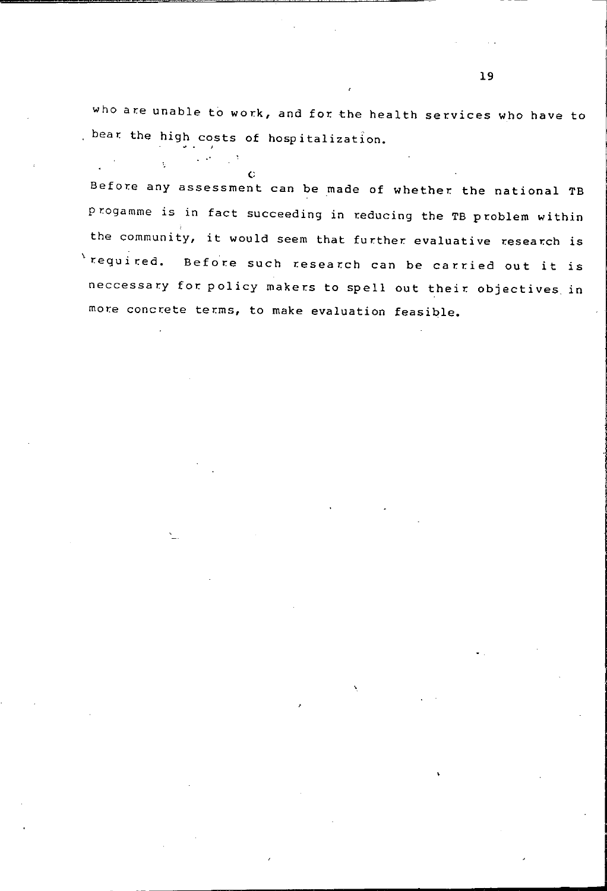who are unable to work, and for the health services who have to bear the high costs of hospitalization.

{; Before any assessment can be made of whether the national TB progamme is in fact succeeding in reducing the TB problem within the community, it would seem that further evaluative research is  $\lambda$  required. Before such research can be carried out it is neccessary for policy makers to spell out their objectives in more concrete terms, to make evaluation feasible.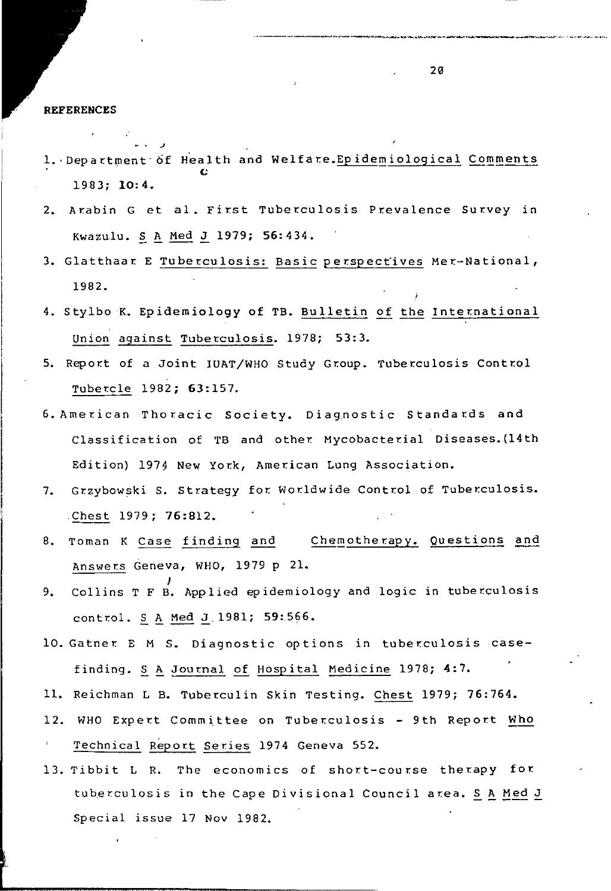**REFERENCES** 

J

- 1. Department of Health and Welfare.Epidemiological Comments c 19B3; 10:4.
- 2. Arabin G et al. First Tuberculosis Prevalence Survey in Kwazulu. S A Med J 1979; 56:434.
- 3. Glatthaar E Tuberculosis: Basic perspectives Mer-National, 19B2.
- 4. Stylbo K. Epidemiology of TB. Bulletin of the International union against Tuberculosis. 197B; 53:3.
- 5. Report of a Joint IUAT/WHO Study Group. Tuberculosis Control Tubercle 19B2; 63:157.
- 6. American Thoracic Society. Diagnostic Standards and Classification of TB and other Mycobacterial Diseases. (14th Edition) 1974 New York, American Lung Association.
- 7. Grzybowski S. Strategy for Worldwide Control of Tuberculosis. Chest 1979; 76:812.
- 8. Toman K Case finding and Chemotherapy. Questions and Answers Geneva, WHO, 1979 P 21.
- J 9. Collins T F B. Applied epidemiology and logic in tuber.culosis control.  $S_A$  Med  $J.1981$ ; 59:566.
- 10. Gatner E M S. Diagnostic options in tuberculosis casefinding. S A Journal of Hospital Medicine 1978; 4:7.
- 11. Reichman L B. Tuber.culin Skin Testing. Chest 1979; 76:764.
- 12. WHO Expert Committee on Tuberculosis 9th Report Who Technical Report Series 1974 Geneva 552.
- 13. Tibbit L R. The economics of short-course therapy for tuberculosis in the Cape Divisional Council area. S A Med J Special issue 17 Nov 19B2.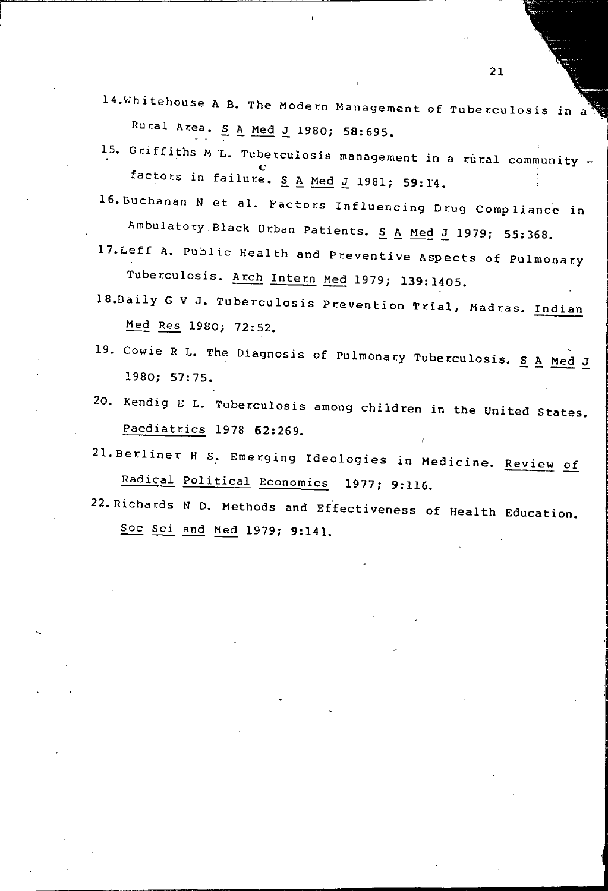- 14.Whitehouse A B. The Modern Management of Tuberculosis Rural Area. S A Med J 1980; 58:695.
- 15. Griffiths M L. Tuberculosis management in a rural community factors in failure.  $S$  A Med J 1981; 59:14.
- 16.Buchanan N et al. Factors Influencing Drug Compliance in Ambulatory Black Urban Patients. S A Med J 1979; 55:368.
- 17. Leff A. Public Health and Preventive Aspects of Pulmonary Tuberculosis. Arch Intern Med 1979; 139:1405.
- 18.Baily G V J. Tuberculosis Prevention Trial, Madras. Indian Med Res 1980; 72:52.
- 19. Cowie R L. The Diagnosis of Pulmonary Tuberculosis. S A Med J 1980; 57: 75.
- 20. Kendig E L. Tuberculosis among children in the United States. Paediatrics 1978 62:269.
- 21. Berliner H S<sub>2</sub> Emerging Ideologies in Medicine. Review of Radical Political Economics 1977; 9:116.
- 22. Richards N D. Methods and Effectiveness of Health Education. Soc *Sci* and Med 1979; 9:141.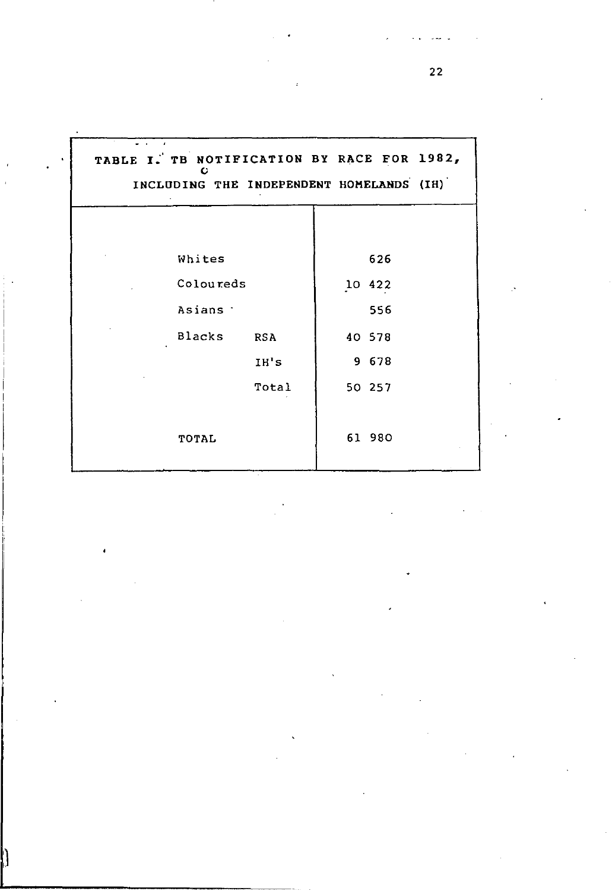| TABLE I. TB NOTIFICATION BY RACE FOR 1982,<br>c<br>INCLUDING THE INDEPENDENT HOMELANDS (IH) |        |
|---------------------------------------------------------------------------------------------|--------|
| Whites                                                                                      | 626    |
| Coloureds                                                                                   | 10 422 |
| Asians 7                                                                                    | 556    |
| <b>Blacks</b><br><b>RSA</b>                                                                 | 40 578 |
| IH's                                                                                        | 9 678  |
| Total                                                                                       | 50 257 |
| TOTAL                                                                                       | 61 980 |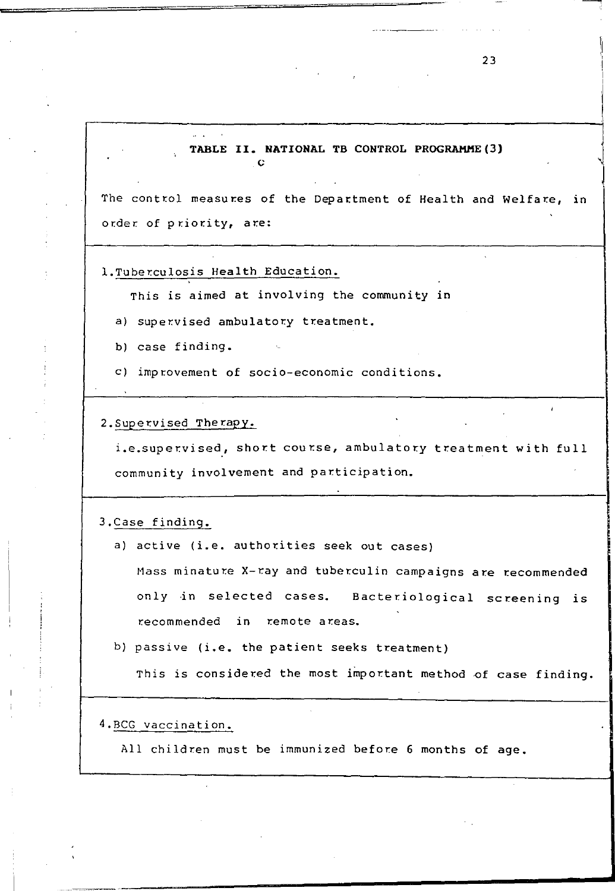#### **TABLE II. NATIONAL TB CONTROL PROGRAMME(3)**   $\mathcal{L}^{\mathcal{L}}$

The control measures of the Department of Health and Welfare, in order of priority, are:

1.Tuberculosis Health Education.

*This is* aimed at involving the community in

a) supervised ambulatory treatment.

b) case finding.

c) improvement of socio-economic conditions.

2. Supervised Therapy.

i.e.supervised, short course, ambulatory treatment with full community involvement and participation.

3.Case finding.

a) active (i.e. authorities seek out cases)

Mass minature X-ray and tuberculin campaigns are recommended only in selected cases. Bacteriological screening is recommended in remote areas.

b) passive (i.e. the patient seeks treatment)

This is considered the most important method of case finding.

4.BCG vaccination.

All children must be immunized before 6 months of age.

~. **.\_-----------\_ ..........**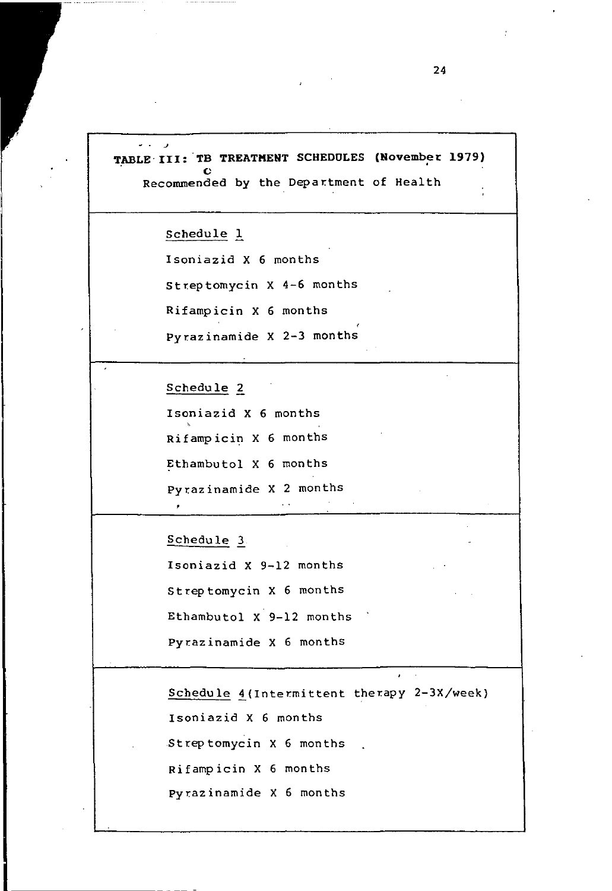TABLE III: TB TREATMENT SCHEDULES (November 1979) Recommended by the Department of Health

Schedule 1

Isoniazid X 6 months

Streptomycin  $X$  4-6 months

Rifampicin X 6 months

Pyrazinamide X 2-3 months

Schedule 2

Isoniazid X 6 months Rifampicin X 6 months Ethambutol X 6 months pyr.azinamide X 2 months

Schedule 3

Isoniazid X 9-12 months Streptomycin X 6 months Ethambutol X 9-12 months Pyrazinamide X 6 months

Schedule 4(Intermittent therapy 2-3X/week) Isoniazid X 6 months Streptomycin X 6 months Rifampicin X 6 months pyrazinamide X 6 months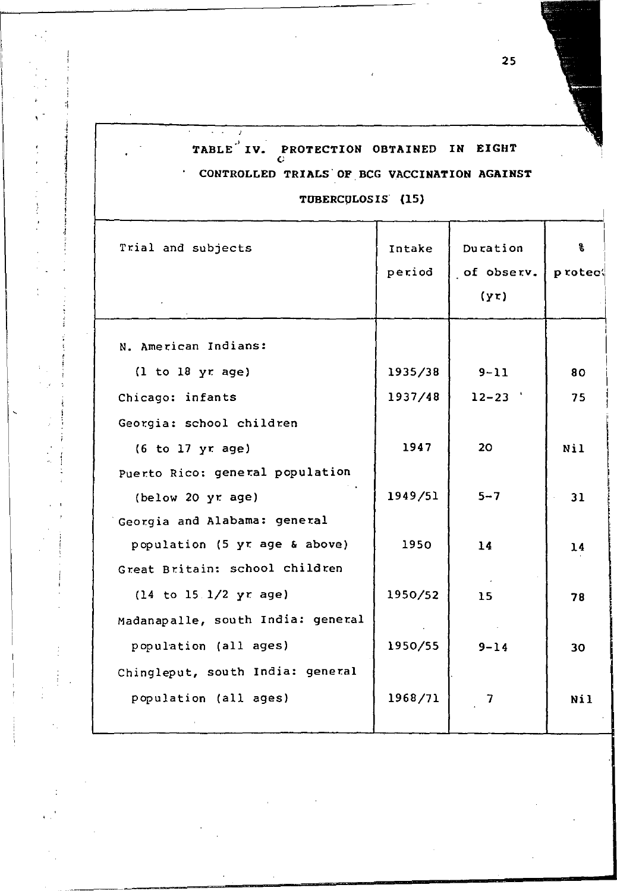# TABLE<sup> $'$ </sup> IV. PROTECTION OBTAINED IN EIGHT CONTROLLED TRIALS· OF BCG VACCINATION AGAINST  $\star$

77 7

 $\cdot$  .

TUBERCULOSIS (15)

| Trial and subjects                       | Intake  | Duration   | s.       |
|------------------------------------------|---------|------------|----------|
|                                          | period  | of observ. | p rotect |
|                                          |         | (yr)       |          |
| N. American Indians:                     |         |            |          |
| (1 to 18 yr age)                         | 1935/38 | $9 - 11$   | 80       |
| Chicago: infants                         | 1937/48 | $12 - 23$  | 75       |
| Georgia: school children                 |         |            |          |
| (6 to 17 yr age)                         | 1947    | 20         | Nil      |
| Puerto Rico: general population          |         |            |          |
| (below 20 yr age)                        | 1949/51 | $5 - 7$    | 31       |
| Georgia and Alabama: general             |         |            |          |
| population (5 yr age & above)            | 1950    | 14         | 14       |
| Great Britain: school children           |         |            |          |
| $(14 \text{ to } 15.1/2 \text{ yr age})$ | 1950/52 | 15         | 78       |
| Madanapalle, south India: general        |         |            |          |
| population (all ages)                    | 1950/55 | $9 - 14$   | 30       |
| Chingleput, south India: general         |         |            |          |
| population (all ages)                    | 1968/71 | 7          | Nil      |
|                                          |         |            |          |